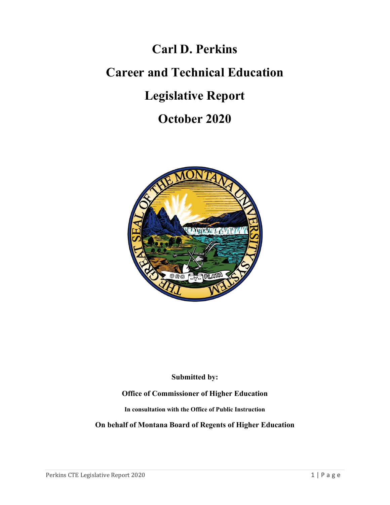**Carl D. Perkins Career and Technical Education Legislative Report October 2020**



**Submitted by:**

**Office of Commissioner of Higher Education**

**In consultation with the Office of Public Instruction**

## **On behalf of Montana Board of Regents of Higher Education**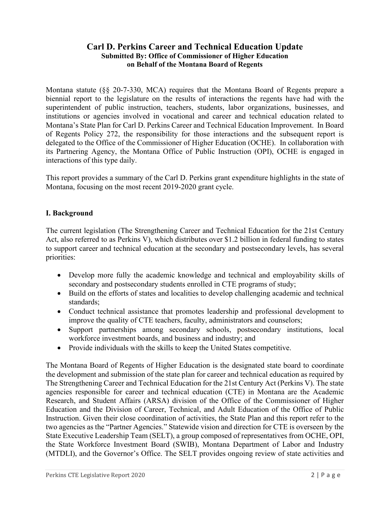#### **Carl D. Perkins Career and Technical Education Update Submitted By: Office of Commissioner of Higher Education on Behalf of the Montana Board of Regents**

Montana statute (§§ 20-7-330, MCA) requires that the Montana Board of Regents prepare a biennial report to the legislature on the results of interactions the regents have had with the superintendent of public instruction, teachers, students, labor organizations, businesses, and institutions or agencies involved in vocational and career and technical education related to Montana's State Plan for Carl D. Perkins Career and Technical Education Improvement. In Board of Regents Policy 272, the responsibility for those interactions and the subsequent report is delegated to the Office of the Commissioner of Higher Education (OCHE). In collaboration with its Partnering Agency, the Montana Office of Public Instruction (OPI), OCHE is engaged in interactions of this type daily.

This report provides a summary of the Carl D. Perkins grant expenditure highlights in the state of Montana, focusing on the most recent 2019-2020 grant cycle.

### **I. Background**

The current legislation (The Strengthening Career and Technical Education for the 21st Century Act, also referred to as Perkins V), which distributes over \$1.2 billion in federal funding to states to support career and technical education at the secondary and postsecondary levels, has several priorities:

- Develop more fully the academic knowledge and technical and employability skills of secondary and postsecondary students enrolled in CTE programs of study;
- Build on the efforts of states and localities to develop challenging academic and technical standards;
- Conduct technical assistance that promotes leadership and professional development to improve the quality of CTE teachers, faculty, administrators and counselors;
- Support partnerships among secondary schools, postsecondary institutions, local workforce investment boards, and business and industry; and
- Provide individuals with the skills to keep the United States competitive.

The Montana Board of Regents of Higher Education is the designated state board to coordinate the development and submission of the state plan for career and technical education as required by The Strengthening Career and Technical Education for the 21st Century Act (Perkins V). The state agencies responsible for career and technical education (CTE) in Montana are the Academic Research, and Student Affairs (ARSA) division of the Office of the Commissioner of Higher Education and the Division of Career, Technical, and Adult Education of the Office of Public Instruction. Given their close coordination of activities, the State Plan and this report refer to the two agencies as the "Partner Agencies." Statewide vision and direction for CTE is overseen by the State Executive Leadership Team (SELT), a group composed of representatives from OCHE, OPI, the State Workforce Investment Board (SWIB), Montana Department of Labor and Industry (MTDLI), and the Governor's Office. The SELT provides ongoing review of state activities and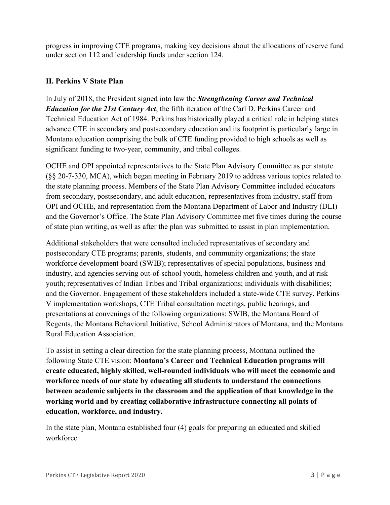progress in improving CTE programs, making key decisions about the allocations of reserve fund under section 112 and leadership funds under section 124.

## **II. Perkins V State Plan**

In July of 2018, the President signed into law the *Strengthening Career and Technical Education for the 21st Century Act*, the fifth iteration of the Carl D. Perkins Career and Technical Education Act of 1984. Perkins has historically played a critical role in helping states advance CTE in secondary and postsecondary education and its footprint is particularly large in Montana education comprising the bulk of CTE funding provided to high schools as well as significant funding to two-year, community, and tribal colleges.

OCHE and OPI appointed representatives to the State Plan Advisory Committee as per statute (§§ 20-7-330, MCA), which began meeting in February 2019 to address various topics related to the state planning process. Members of the State Plan Advisory Committee included educators from secondary, postsecondary, and adult education, representatives from industry, staff from OPI and OCHE, and representation from the Montana Department of Labor and Industry (DLI) and the Governor's Office. The State Plan Advisory Committee met five times during the course of state plan writing, as well as after the plan was submitted to assist in plan implementation.

Additional stakeholders that were consulted included representatives of secondary and postsecondary CTE programs; parents, students, and community organizations; the state workforce development board (SWIB); representatives of special populations, business and industry, and agencies serving out-of-school youth, homeless children and youth, and at risk youth; representatives of Indian Tribes and Tribal organizations; individuals with disabilities; and the Governor. Engagement of these stakeholders included a state-wide CTE survey, Perkins V implementation workshops, CTE Tribal consultation meetings, public hearings, and presentations at convenings of the following organizations: SWIB, the Montana Board of Regents, the Montana Behavioral Initiative, School Administrators of Montana, and the Montana Rural Education Association.

To assist in setting a clear direction for the state planning process, Montana outlined the following State CTE vision: **Montana's Career and Technical Education programs will create educated, highly skilled, well-rounded individuals who will meet the economic and workforce needs of our state by educating all students to understand the connections between academic subjects in the classroom and the application of that knowledge in the working world and by creating collaborative infrastructure connecting all points of education, workforce, and industry.**

In the state plan, Montana established four (4) goals for preparing an educated and skilled workforce.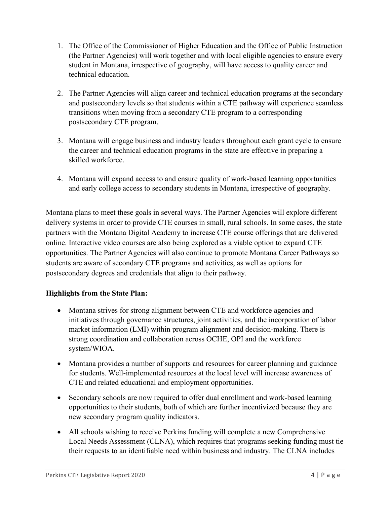- 1. The Office of the Commissioner of Higher Education and the Office of Public Instruction (the Partner Agencies) will work together and with local eligible agencies to ensure every student in Montana, irrespective of geography, will have access to quality career and technical education.
- 2. The Partner Agencies will align career and technical education programs at the secondary and postsecondary levels so that students within a CTE pathway will experience seamless transitions when moving from a secondary CTE program to a corresponding postsecondary CTE program.
- 3. Montana will engage business and industry leaders throughout each grant cycle to ensure the career and technical education programs in the state are effective in preparing a skilled workforce.
- 4. Montana will expand access to and ensure quality of work-based learning opportunities and early college access to secondary students in Montana, irrespective of geography.

Montana plans to meet these goals in several ways. The Partner Agencies will explore different delivery systems in order to provide CTE courses in small, rural schools. In some cases, the state partners with the Montana Digital Academy to increase CTE course offerings that are delivered online. Interactive video courses are also being explored as a viable option to expand CTE opportunities. The Partner Agencies will also continue to promote Montana Career Pathways so students are aware of secondary CTE programs and activities, as well as options for postsecondary degrees and credentials that align to their pathway.

### **Highlights from the State Plan:**

- Montana strives for strong alignment between CTE and workforce agencies and initiatives through governance structures, joint activities, and the incorporation of labor market information (LMI) within program alignment and decision-making. There is strong coordination and collaboration across OCHE, OPI and the workforce system/WIOA.
- Montana provides a number of supports and resources for career planning and guidance for students. Well-implemented resources at the local level will increase awareness of CTE and related educational and employment opportunities.
- Secondary schools are now required to offer dual enrollment and work-based learning opportunities to their students, both of which are further incentivized because they are new secondary program quality indicators.
- All schools wishing to receive Perkins funding will complete a new Comprehensive Local Needs Assessment (CLNA), which requires that programs seeking funding must tie their requests to an identifiable need within business and industry. The CLNA includes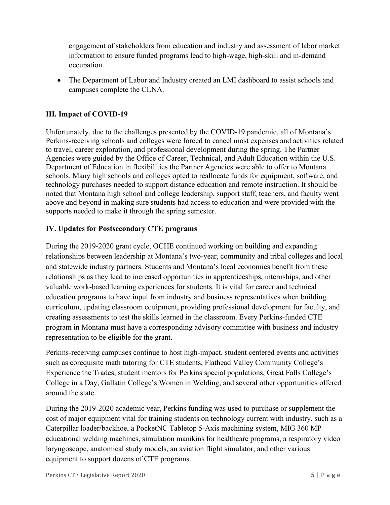engagement of stakeholders from education and industry and assessment of labor market information to ensure funded programs lead to high-wage, high-skill and in-demand occupation.

• The Department of Labor and Industry created an LMI dashboard to assist schools and campuses complete the CLNA.

# **III. Impact of COVID-19**

Unfortunately, due to the challenges presented by the COVID-19 pandemic, all of Montana's Perkins-receiving schools and colleges were forced to cancel most expenses and activities related to travel, career exploration, and professional development during the spring. The Partner Agencies were guided by the Office of Career, Technical, and Adult Education within the U.S. Department of Education in flexibilities the Partner Agencies were able to offer to Montana schools. Many high schools and colleges opted to reallocate funds for equipment, software, and technology purchases needed to support distance education and remote instruction. It should be noted that Montana high school and college leadership, support staff, teachers, and faculty went above and beyond in making sure students had access to education and were provided with the supports needed to make it through the spring semester.

## **IV. Updates for Postsecondary CTE programs**

During the 2019-2020 grant cycle, OCHE continued working on building and expanding relationships between leadership at Montana's two-year, community and tribal colleges and local and statewide industry partners. Students and Montana's local economies benefit from these relationships as they lead to increased opportunities in apprenticeships, internships, and other valuable work-based learning experiences for students. It is vital for career and technical education programs to have input from industry and business representatives when building curriculum, updating classroom equipment, providing professional development for faculty, and creating assessments to test the skills learned in the classroom. Every Perkins-funded CTE program in Montana must have a corresponding advisory committee with business and industry representation to be eligible for the grant.

Perkins-receiving campuses continue to host high-impact, student centered events and activities such as corequisite math tutoring for CTE students, Flathead Valley Community College's Experience the Trades, student mentors for Perkins special populations, Great Falls College's College in a Day, Gallatin College's Women in Welding, and several other opportunities offered around the state.

During the 2019-2020 academic year, Perkins funding was used to purchase or supplement the cost of major equipment vital for training students on technology current with industry, such as a Caterpillar loader/backhoe, a PocketNC Tabletop 5-Axis machining system, MIG 360 MP educational welding machines, simulation manikins for healthcare programs, a respiratory video laryngoscope, anatomical study models, an aviation flight simulator, and other various equipment to support dozens of CTE programs.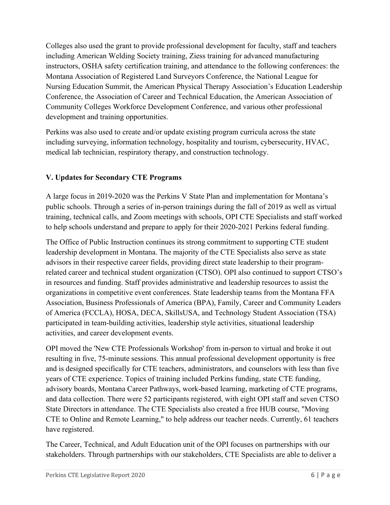Colleges also used the grant to provide professional development for faculty, staff and teachers including American Welding Society training, Ziess training for advanced manufacturing instructors, OSHA safety certification training, and attendance to the following conferences: the Montana Association of Registered Land Surveyors Conference, the National League for Nursing Education Summit, the American Physical Therapy Association's Education Leadership Conference, the Association of Career and Technical Education, the American Association of Community Colleges Workforce Development Conference, and various other professional development and training opportunities.

Perkins was also used to create and/or update existing program curricula across the state including surveying, information technology, hospitality and tourism, cybersecurity, HVAC, medical lab technician, respiratory therapy, and construction technology.

## **V. Updates for Secondary CTE Programs**

A large focus in 2019-2020 was the Perkins V State Plan and implementation for Montana's public schools. Through a series of in-person trainings during the fall of 2019 as well as virtual training, technical calls, and Zoom meetings with schools, OPI CTE Specialists and staff worked to help schools understand and prepare to apply for their 2020-2021 Perkins federal funding.

The Office of Public Instruction continues its strong commitment to supporting CTE student leadership development in Montana. The majority of the CTE Specialists also serve as state advisors in their respective career fields, providing direct state leadership to their programrelated career and technical student organization (CTSO). OPI also continued to support CTSO's in resources and funding. Staff provides administrative and leadership resources to assist the organizations in competitive event conferences. State leadership teams from the Montana FFA Association, Business Professionals of America (BPA), Family, Career and Community Leaders of America (FCCLA), HOSA, DECA, SkillsUSA, and Technology Student Association (TSA) participated in team-building activities, leadership style activities, situational leadership activities, and career development events.

OPI moved the 'New CTE Professionals Workshop' from in-person to virtual and broke it out resulting in five, 75-minute sessions. This annual professional development opportunity is free and is designed specifically for CTE teachers, administrators, and counselors with less than five years of CTE experience. Topics of training included Perkins funding, state CTE funding, advisory boards, Montana Career Pathways, work-based learning, marketing of CTE programs, and data collection. There were 52 participants registered, with eight OPI staff and seven CTSO State Directors in attendance. The CTE Specialists also created a free HUB course, "Moving CTE to Online and Remote Learning," to help address our teacher needs. Currently, 61 teachers have registered.

The Career, Technical, and Adult Education unit of the OPI focuses on partnerships with our stakeholders. Through partnerships with our stakeholders, CTE Specialists are able to deliver a